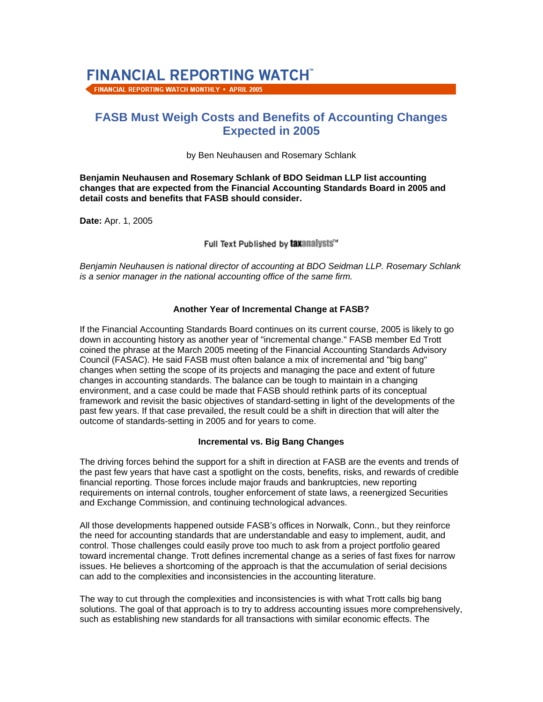# **FINANCIAL REPORTING WATCHT**

FINANCIAL REPORTING WATCH MONTHLY . APRIL 2005

# **FASB Must Weigh Costs and Benefits of Accounting Changes Expected in 2005**

by Ben Neuhausen and Rosemary Schlank

**Benjamin Neuhausen and Rosemary Schlank of BDO Seidman LLP list accounting changes that are expected from the Financial Accounting Standards Board in 2005 and detail costs and benefits that FASB should consider.**

**Date:** Apr. 1, 2005

Full Text Published by taxanalysts"

*Benjamin Neuhausen is national director of accounting at BDO Seidman LLP. Rosemary Schlank is a senior manager in the national accounting office of the same firm.*

#### **Another Year of Incremental Change at FASB?**

If the Financial Accounting Standards Board continues on its current course, 2005 is likely to go down in accounting history as another year of "incremental change." FASB member Ed Trott coined the phrase at the March 2005 meeting of the Financial Accounting Standards Advisory Council (FASAC). He said FASB must often balance a mix of incremental and "big bang" changes when setting the scope of its projects and managing the pace and extent of future changes in accounting standards. The balance can be tough to maintain in a changing environment, and a case could be made that FASB should rethink parts of its conceptual framework and revisit the basic objectives of standard-setting in light of the developments of the past few years. If that case prevailed, the result could be a shift in direction that will alter the outcome of standards-setting in 2005 and for years to come.

#### **Incremental vs. Big Bang Changes**

The driving forces behind the support for a shift in direction at FASB are the events and trends of the past few years that have cast a spotlight on the costs, benefits, risks, and rewards of credible financial reporting. Those forces include major frauds and bankruptcies, new reporting requirements on internal controls, tougher enforcement of state laws, a reenergized Securities and Exchange Commission, and continuing technological advances.

All those developments happened outside FASB's offices in Norwalk, Conn., but they reinforce the need for accounting standards that are understandable and easy to implement, audit, and control. Those challenges could easily prove too much to ask from a project portfolio geared toward incremental change. Trott defines incremental change as a series of fast fixes for narrow issues. He believes a shortcoming of the approach is that the accumulation of serial decisions can add to the complexities and inconsistencies in the accounting literature.

The way to cut through the complexities and inconsistencies is with what Trott calls big bang solutions. The goal of that approach is to try to address accounting issues more comprehensively, such as establishing new standards for all transactions with similar economic effects. The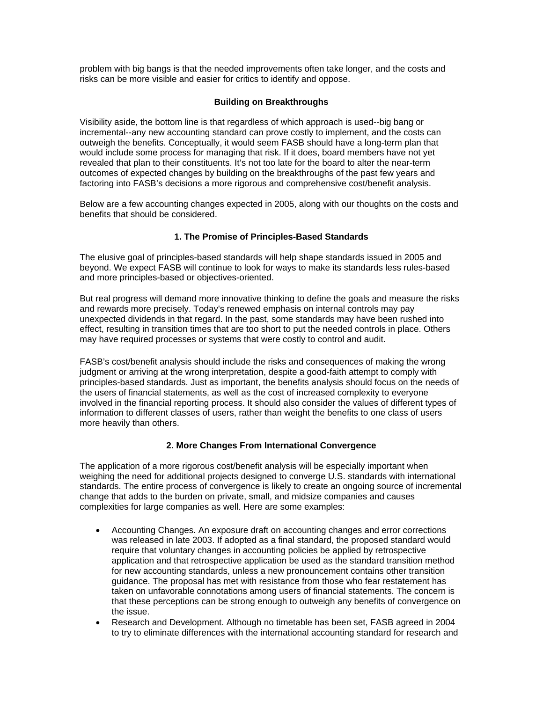problem with big bangs is that the needed improvements often take longer, and the costs and risks can be more visible and easier for critics to identify and oppose.

#### **Building on Breakthroughs**

Visibility aside, the bottom line is that regardless of which approach is used--big bang or incremental--any new accounting standard can prove costly to implement, and the costs can outweigh the benefits. Conceptually, it would seem FASB should have a long-term plan that would include some process for managing that risk. If it does, board members have not yet revealed that plan to their constituents. It's not too late for the board to alter the near-term outcomes of expected changes by building on the breakthroughs of the past few years and factoring into FASB's decisions a more rigorous and comprehensive cost/benefit analysis.

Below are a few accounting changes expected in 2005, along with our thoughts on the costs and benefits that should be considered.

# **1. The Promise of Principles-Based Standards**

The elusive goal of principles-based standards will help shape standards issued in 2005 and beyond. We expect FASB will continue to look for ways to make its standards less rules-based and more principles-based or objectives-oriented.

But real progress will demand more innovative thinking to define the goals and measure the risks and rewards more precisely. Today's renewed emphasis on internal controls may pay unexpected dividends in that regard. In the past, some standards may have been rushed into effect, resulting in transition times that are too short to put the needed controls in place. Others may have required processes or systems that were costly to control and audit.

FASB's cost/benefit analysis should include the risks and consequences of making the wrong judgment or arriving at the wrong interpretation, despite a good-faith attempt to comply with principles-based standards. Just as important, the benefits analysis should focus on the needs of the users of financial statements, as well as the cost of increased complexity to everyone involved in the financial reporting process. It should also consider the values of different types of information to different classes of users, rather than weight the benefits to one class of users more heavily than others.

# **2. More Changes From International Convergence**

The application of a more rigorous cost/benefit analysis will be especially important when weighing the need for additional projects designed to converge U.S. standards with international standards. The entire process of convergence is likely to create an ongoing source of incremental change that adds to the burden on private, small, and midsize companies and causes complexities for large companies as well. Here are some examples:

- Accounting Changes. An exposure draft on accounting changes and error corrections was released in late 2003. If adopted as a final standard, the proposed standard would require that voluntary changes in accounting policies be applied by retrospective application and that retrospective application be used as the standard transition method for new accounting standards, unless a new pronouncement contains other transition guidance. The proposal has met with resistance from those who fear restatement has taken on unfavorable connotations among users of financial statements. The concern is that these perceptions can be strong enough to outweigh any benefits of convergence on the issue.
- Research and Development. Although no timetable has been set, FASB agreed in 2004 to try to eliminate differences with the international accounting standard for research and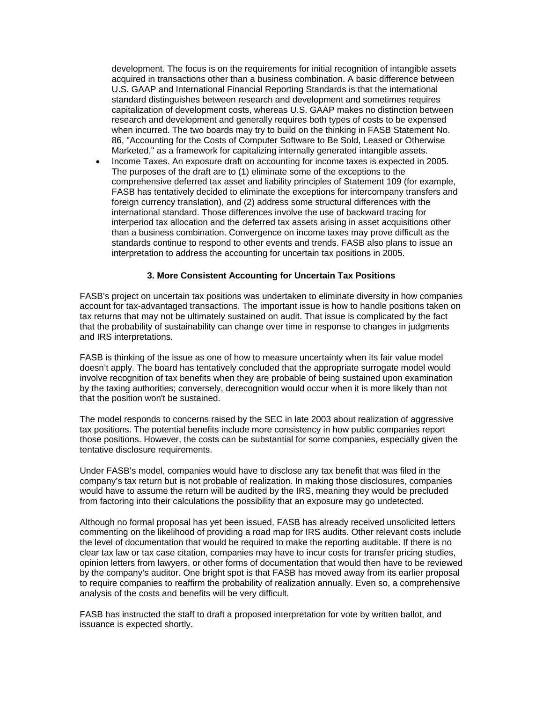development. The focus is on the requirements for initial recognition of intangible assets acquired in transactions other than a business combination. A basic difference between U.S. GAAP and International Financial Reporting Standards is that the international standard distinguishes between research and development and sometimes requires capitalization of development costs, whereas U.S. GAAP makes no distinction between research and development and generally requires both types of costs to be expensed when incurred. The two boards may try to build on the thinking in FASB Statement No. 86, "Accounting for the Costs of Computer Software to Be Sold, Leased or Otherwise Marketed," as a framework for capitalizing internally generated intangible assets.

• Income Taxes. An exposure draft on accounting for income taxes is expected in 2005. The purposes of the draft are to (1) eliminate some of the exceptions to the comprehensive deferred tax asset and liability principles of Statement 109 (for example, FASB has tentatively decided to eliminate the exceptions for intercompany transfers and foreign currency translation), and (2) address some structural differences with the international standard. Those differences involve the use of backward tracing for interperiod tax allocation and the deferred tax assets arising in asset acquisitions other than a business combination. Convergence on income taxes may prove difficult as the standards continue to respond to other events and trends. FASB also plans to issue an interpretation to address the accounting for uncertain tax positions in 2005.

#### **3. More Consistent Accounting for Uncertain Tax Positions**

FASB's project on uncertain tax positions was undertaken to eliminate diversity in how companies account for tax-advantaged transactions. The important issue is how to handle positions taken on tax returns that may not be ultimately sustained on audit. That issue is complicated by the fact that the probability of sustainability can change over time in response to changes in judgments and IRS interpretations.

FASB is thinking of the issue as one of how to measure uncertainty when its fair value model doesn't apply. The board has tentatively concluded that the appropriate surrogate model would involve recognition of tax benefits when they are probable of being sustained upon examination by the taxing authorities; conversely, derecognition would occur when it is more likely than not that the position won't be sustained.

The model responds to concerns raised by the SEC in late 2003 about realization of aggressive tax positions. The potential benefits include more consistency in how public companies report those positions. However, the costs can be substantial for some companies, especially given the tentative disclosure requirements.

Under FASB's model, companies would have to disclose any tax benefit that was filed in the company's tax return but is not probable of realization. In making those disclosures, companies would have to assume the return will be audited by the IRS, meaning they would be precluded from factoring into their calculations the possibility that an exposure may go undetected.

Although no formal proposal has yet been issued, FASB has already received unsolicited letters commenting on the likelihood of providing a road map for IRS audits. Other relevant costs include the level of documentation that would be required to make the reporting auditable. If there is no clear tax law or tax case citation, companies may have to incur costs for transfer pricing studies, opinion letters from lawyers, or other forms of documentation that would then have to be reviewed by the company's auditor. One bright spot is that FASB has moved away from its earlier proposal to require companies to reaffirm the probability of realization annually. Even so, a comprehensive analysis of the costs and benefits will be very difficult.

FASB has instructed the staff to draft a proposed interpretation for vote by written ballot, and issuance is expected shortly.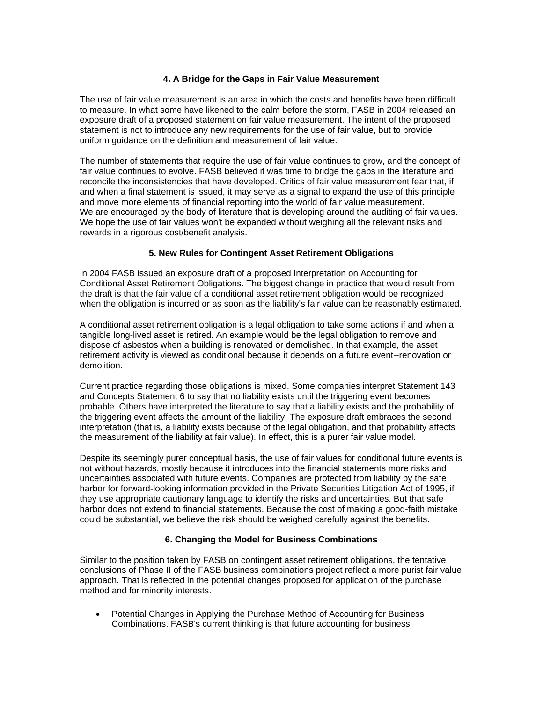#### **4. A Bridge for the Gaps in Fair Value Measurement**

The use of fair value measurement is an area in which the costs and benefits have been difficult to measure. In what some have likened to the calm before the storm, FASB in 2004 released an exposure draft of a proposed statement on fair value measurement. The intent of the proposed statement is not to introduce any new requirements for the use of fair value, but to provide uniform guidance on the definition and measurement of fair value.

The number of statements that require the use of fair value continues to grow, and the concept of fair value continues to evolve. FASB believed it was time to bridge the gaps in the literature and reconcile the inconsistencies that have developed. Critics of fair value measurement fear that, if and when a final statement is issued, it may serve as a signal to expand the use of this principle and move more elements of financial reporting into the world of fair value measurement. We are encouraged by the body of literature that is developing around the auditing of fair values. We hope the use of fair values won't be expanded without weighing all the relevant risks and rewards in a rigorous cost/benefit analysis.

# **5. New Rules for Contingent Asset Retirement Obligations**

In 2004 FASB issued an exposure draft of a proposed Interpretation on Accounting for Conditional Asset Retirement Obligations. The biggest change in practice that would result from the draft is that the fair value of a conditional asset retirement obligation would be recognized when the obligation is incurred or as soon as the liability's fair value can be reasonably estimated.

A conditional asset retirement obligation is a legal obligation to take some actions if and when a tangible long-lived asset is retired. An example would be the legal obligation to remove and dispose of asbestos when a building is renovated or demolished. In that example, the asset retirement activity is viewed as conditional because it depends on a future event--renovation or demolition.

Current practice regarding those obligations is mixed. Some companies interpret Statement 143 and Concepts Statement 6 to say that no liability exists until the triggering event becomes probable. Others have interpreted the literature to say that a liability exists and the probability of the triggering event affects the amount of the liability. The exposure draft embraces the second interpretation (that is, a liability exists because of the legal obligation, and that probability affects the measurement of the liability at fair value). In effect, this is a purer fair value model.

Despite its seemingly purer conceptual basis, the use of fair values for conditional future events is not without hazards, mostly because it introduces into the financial statements more risks and uncertainties associated with future events. Companies are protected from liability by the safe harbor for forward-looking information provided in the Private Securities Litigation Act of 1995, if they use appropriate cautionary language to identify the risks and uncertainties. But that safe harbor does not extend to financial statements. Because the cost of making a good-faith mistake could be substantial, we believe the risk should be weighed carefully against the benefits.

# **6. Changing the Model for Business Combinations**

Similar to the position taken by FASB on contingent asset retirement obligations, the tentative conclusions of Phase II of the FASB business combinations project reflect a more purist fair value approach. That is reflected in the potential changes proposed for application of the purchase method and for minority interests.

• Potential Changes in Applying the Purchase Method of Accounting for Business Combinations. FASB's current thinking is that future accounting for business